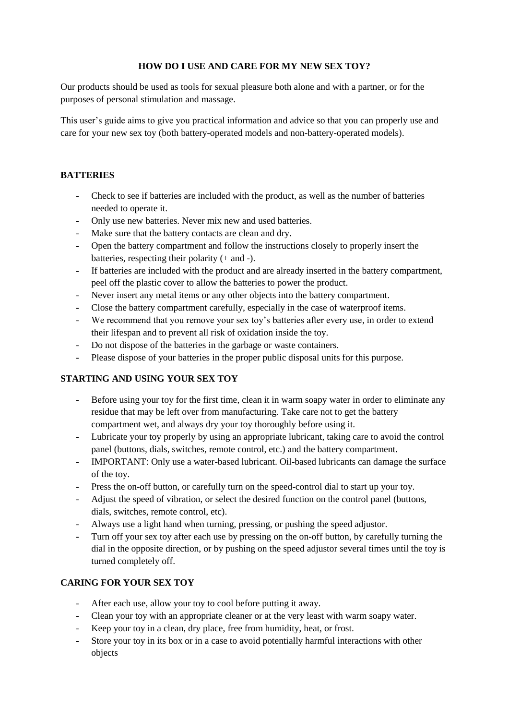#### **HOW DO I USE AND CARE FOR MY NEW SEX TOY?**

Our products should be used as tools for sexual pleasure both alone and with a partner, or for the purposes of personal stimulation and massage.

This user's guide aims to give you practical information and advice so that you can properly use and care for your new sex toy (both battery-operated models and non-battery-operated models).

#### **BATTERIES**

- Check to see if batteries are included with the product, as well as the number of batteries needed to operate it.
- Only use new batteries. Never mix new and used batteries.
- Make sure that the battery contacts are clean and dry.
- Open the battery compartment and follow the instructions closely to properly insert the batteries, respecting their polarity (+ and -).
- If batteries are included with the product and are already inserted in the battery compartment, peel off the plastic cover to allow the batteries to power the product.
- Never insert any metal items or any other objects into the battery compartment.
- Close the battery compartment carefully, especially in the case of waterproof items.
- We recommend that you remove your sex toy's batteries after every use, in order to extend their lifespan and to prevent all risk of oxidation inside the toy.
- Do not dispose of the batteries in the garbage or waste containers.
- Please dispose of your batteries in the proper public disposal units for this purpose.

# **STARTING AND USING YOUR SEX TOY**

- Before using your toy for the first time, clean it in warm soapy water in order to eliminate any residue that may be left over from manufacturing. Take care not to get the battery compartment wet, and always dry your toy thoroughly before using it.
- Lubricate your toy properly by using an appropriate lubricant, taking care to avoid the control panel (buttons, dials, switches, remote control, etc.) and the battery compartment.
- IMPORTANT: Only use a water-based lubricant. Oil-based lubricants can damage the surface of the toy.
- Press the on-off button, or carefully turn on the speed-control dial to start up your toy.
- Adjust the speed of vibration, or select the desired function on the control panel (buttons, dials, switches, remote control, etc).
- Always use a light hand when turning, pressing, or pushing the speed adjustor.
- Turn off your sex toy after each use by pressing on the on-off button, by carefully turning the dial in the opposite direction, or by pushing on the speed adjustor several times until the toy is turned completely off.

# **CARING FOR YOUR SEX TOY**

- After each use, allow your toy to cool before putting it away.
- Clean your toy with an appropriate cleaner or at the very least with warm soapy water.
- Keep your toy in a clean, dry place, free from humidity, heat, or frost.
- Store your toy in its box or in a case to avoid potentially harmful interactions with other objects